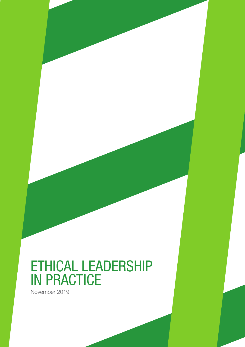# *ETHICAL LEADERSHIP IN PRACTICE*

November 2019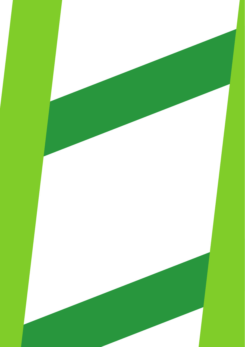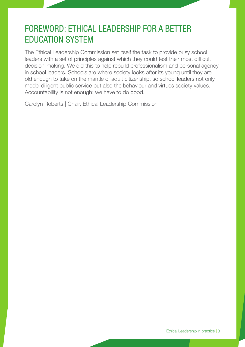## *FOREWORD: ETHICAL LEADERSHIP FOR A BETTER EDUCATION SYSTEM*

The Ethical Leadership Commission set itself the task to provide busy school leaders with a set of principles against which they could test their most difficult decision-making. We did this to help rebuild professionalism and personal agency in school leaders. Schools are where society looks after its young until they are old enough to take on the mantle of adult citizenship, so school leaders not only model diligent public service but also the behaviour and virtues society values. Accountability is not enough: we have to do good.

Carolyn Roberts | Chair, Ethical Leadership Commission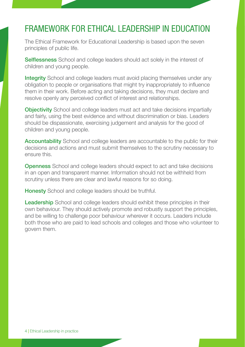### *FRAMEWORK FOR ETHICAL LEADERSHIP IN EDUCATION*

The Ethical Framework for Educational Leadership is based upon the seven principles of public life.

Selflessness School and college leaders should act solely in the interest of children and young people.

Integrity School and college leaders must avoid placing themselves under any obligation to people or organisations that might try inappropriately to influence them in their work. Before acting and taking decisions, they must declare and resolve openly any perceived conflict of interest and relationships.

**Objectivity** School and college leaders must act and take decisions impartially and fairly, using the best evidence and without discrimination or bias. Leaders should be dispassionate, exercising judgement and analysis for the good of children and young people.

Accountability School and college leaders are accountable to the public for their decisions and actions and must submit themselves to the scrutiny necessary to ensure this.

Openness School and college leaders should expect to act and take decisions in an open and transparent manner. Information should not be withheld from scrutiny unless there are clear and lawful reasons for so doing.

**Honesty** School and college leaders should be truthful.

**Leadership** School and college leaders should exhibit these principles in their own behaviour. They should actively promote and robustly support the principles, and be willing to challenge poor behaviour wherever it occurs. Leaders include both those who are paid to lead schools and colleges and those who volunteer to govern them.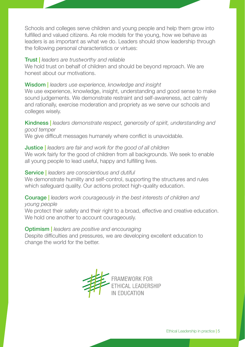Schools and colleges serve children and young people and help them grow into fulfilled and valued citizens. As role models for the young, how we behave as leaders is as important as what we do. Leaders should show leadership through the following personal characteristics or virtues:

#### Trust **|** *leaders are trustworthy and reliable*

We hold trust on behalf of children and should be beyond reproach. We are honest about our motivations.

#### Wisdom **|** *leaders use experience, knowledge and insight*

We use experience, knowledge, insight, understanding and good sense to make sound judgements. We demonstrate restraint and self-awareness, act calmly and rationally, exercise moderation and propriety as we serve our schools and colleges wisely.

Kindness **|** *leaders demonstrate respect, generosity of spirit, understanding and good temper*

We give difficult messages humanely where conflict is unavoidable.

## Justice **|** *leaders are fair and work for the good of all children*

We work fairly for the good of children from all backgrounds. We seek to enable all young people to lead useful, happy and fulfilling lives.

#### Service **|** *leaders are conscientious and dutiful*

We demonstrate humility and self-control, supporting the structures and rules which safeguard quality. Our actions protect high-quality education.

### Courage **|** *leaders work courageously in the best interests of children and*

#### *young people*

We protect their safety and their right to a broad, effective and creative education. We hold one another to account courageously.

#### Optimism **|** *leaders are positive and encouraging*

Despite difficulties and pressures, we are developing excellent education to change the world for the better.

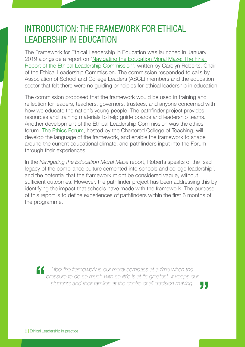## *INTRODUCTION: THE FRAMEWORK FOR ETHICAL LEADERSHIP IN EDUCATION*

The Framework for Ethical Leadership in Education was launched in January 2019 alongside a report on ['Navigating the Education Moral Maze: The Final](https://www.nga.org.uk/getattachment/Knowledge-Centre/Good-governance/Ethical-governance/Framework-for-Ethical-Leadership-in-Education/ELC-final-report-jan-19.pdf?lang=en-GB)  [Report of the Ethical Leadership Commission](https://www.nga.org.uk/getattachment/Knowledge-Centre/Good-governance/Ethical-governance/Framework-for-Ethical-Leadership-in-Education/ELC-final-report-jan-19.pdf?lang=en-GB)', written by Carolyn Roberts, Chair of the Ethical Leadership Commission. The commission responded to calls by Association of School and College Leaders (ASCL) members and the education sector that felt there were no guiding principles for ethical leadership in education.

The commission proposed that the framework would be used in training and reflection for leaders, teachers, governors, trustees, and anyone concerned with how we educate the nation's young people. The pathfinder project provides resources and training materials to help guide boards and leadership teams. Another development of the Ethical Leadership Commission was the ethics forum. [The Ethics Forum](http://ethicsforum.co.uk/), hosted by the Chartered College of Teaching, will develop the language of the framework, and enable the framework to shape around the current educational climate, and pathfinders input into the Forum through their experiences.

In the *Navigating the Education Moral Maze* report, Roberts speaks of the 'sad legacy of the compliance culture cemented into schools and college leadership', and the potential that the framework might be considered vague, without sufficient outcomes. However, the pathfinder project has been addressing this by identifying the impact that schools have made with the framework. The purpose of this report is to define experiences of pathfinders within the first 6 months of the programme.

**1** *I feel the framework is our moral compass at a time when the pressure to do so much with so little is at its greatest. It keeps of students and their families at the centre of all decision making. pressure to do so much with so little is at its greatest. It keeps our students and their families at the centre of all decision making.* **"**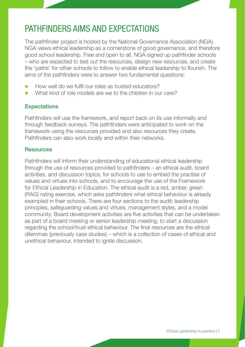### *PATHFINDERS AIMS AND EXPECTATIONS*

The pathfinder project is hosted by the National Governance Association (NGA). NGA views ethical leadership as a cornerstone of good governance, and therefore good school leadership. Free and open to all, NGA signed up pathfinder schools – who are expected to test out the resources, design new resources, and create the 'paths' for other schools to follow to enable ethical leadership to flourish. The aims of the pathfinders were to answer two fundamental questions:

- How well do we fulfil our roles as trusted educators?
- What kind of role models are we to the children in our care?

#### **Expectations**

Pathfinders will use the framework, and report back on its use informally and through feedback surveys. The pathfinders were anticipated to work on the framework using the resources provided and also resources they create. Pathfinders can also work locally and within their networks.

#### **Resources**

Pathfinders will inform their understanding of educational ethical leadership through the use of resources provided to pathfinders – an ethical audit, board activities, and discussion topics, for schools to use to embed the practise of values and virtues into schools, and to encourage the use of the Framework for Ethical Leadership in Education. The ethical audit is a red, amber, green (RAG) rating exercise, which asks pathfinders what ethical behaviour is already exampled in their schools. There are four sections to the audit; leadership principles, safeguarding values and virtues, management styles, and a model community. Board development activities are five activities that can be undertaken as part of a board meeting or senior leadership meeting, to start a discussion regarding the school/trust ethical behaviour. The final resources are the ethical dilemmas (previously case studies) – which is a collection of cases of ethical and unethical behaviour, intended to ignite discussion.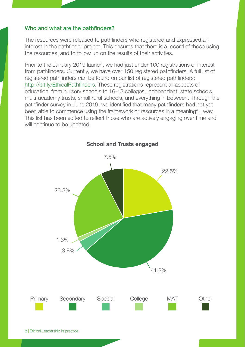#### Who and what are the pathfinders?

The resources were released to pathfinders who registered and expressed an interest in the pathfinder project. This ensures that there is a record of those using the resources, and to follow up on the results of their activities.

Prior to the January 2019 launch, we had just under 100 registrations of interest from pathfinders. Currently, we have over 150 registered pathfinders. A full list of registered pathfinders can be found on our list of registered pathfinders: <http://bit.ly/EthicalPathfinders>. These registrations represent all aspects of education, from nursery schools to 16-18 colleges, independent, state schools, multi-academy trusts, small rural schools, and everything in between. Through the pathfinder survey in June 2019, we identified that many pathfinders had not yet been able to commence using the framework or resources in a meaningful way. This list has been edited to reflect those who are actively engaging over time and will continue to be updated.



**School and Trusts engaged**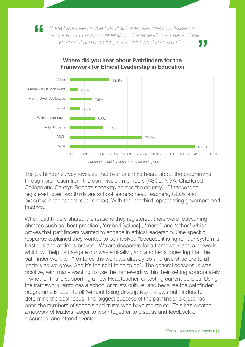**16** There have been some historical issues with previous leaders in one of the schools in our federation. The federation is new and we are keen that we do things the "right way" from the start. *one of the schools in our federation. The federation is new and we are keen that we do things the "right way" from the start.* **"**



#### **Where did you hear about Pathfinders for the Framework for Ethical Leadership in Education**

The pathfinder survey revealed that over one third heard about the programme through promotion from the commission members (ASCL, NGA, Chartered College and Carolyn Roberts speaking across the country). Of those who registered, over two thirds are school leaders; head teachers, CEOs and executive head teachers (or similar). With the last third representing governors and trustees.

When pathfinders shared the reasons they registered, there were reoccurring phrases such as 'best practice', 'embed [values]', 'moral', and 'ethos' which proves that pathfinders wanted to engage in ethical leadership. One specific response explained they wanted to be involved "because it is right. Our system is fractious and at times broken. We are desperate for a framework and a network which will help us navigate our way ethically", and another suggesting that the pathfinder work will "reinforce the work we already do and give structure to all leaders as we grow. And it's the right thing to do". The general consensus was positive, with many wanting to use the framework within their setting appropriately – whether this is supporting a new Headteacher, or testing current policies. Using the framework reinforces a school or trusts culture, and because the pathfinder programme is open to all (without being descriptive) it allows pathfinders to determine the best focus. The biggest success of the pathfinder project has been the numbers of schools and trusts who have registered. This has created a network of leaders, eager to work together to discuss and feedback on resources, and attend events.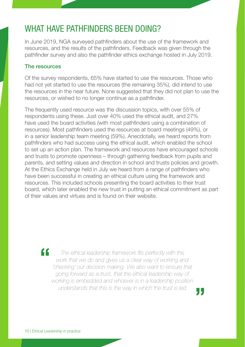### *WHAT HAVE PATHFINDERS BEEN DOING?*

In June 2019, NGA surveyed pathfinders about the use of the framework and resources, and the results of the pathfinders. Feedback was given through the pathfinder survey and also the pathfinder ethics exchange hosted in July 2019.

#### The resources

Of the survey respondents, 65% have started to use the resources. Those who had not yet started to use the resources (the remaining 35%), did intend to use the resources in the near future. None suggested that they did not plan to use the resources, or wished to no longer continue as a pathfinder.

The frequently used resource was the discussion topics, with over 55% of respondents using these. Just over 40% used the ethical audit, and 27% have used the board activities (with most pathfinders using a combination of resources). Most pathfinders used the resources at board meetings (49%), or in a senior leadership team meeting (59%). Anecdotally, we heard reports from pathfinders who had success using the ethical audit, which enabled the school to set up an action plan. The framework and resources have encouraged schools and trusts to promote openness – through gathering feedback from pupils and parents, and setting values and direction in school and trusts policies and growth. At the Ethics Exchange held in July we heard from a range of pathfinders who have been successful in creating an ethical culture using the framework and resources. This included schools presenting the board activities to their trust board, which later enabled the new trust in putting an ethical commitment as part of their values and virtues and is found on their website.

*The ethical leadership framework fits perfectly with the work that we do and gives us a clear way of working and 'checking' our decision making. We also want to ensure that going forward as a trust, that the ethical leadership way of working is embedded and whoever is in a leadership position understands that this is the way in which the trust is led* **"**

**"**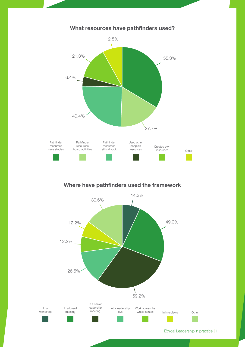

#### **Where have pathfinders used the framework**



Ethical Leadership in practice **|** 11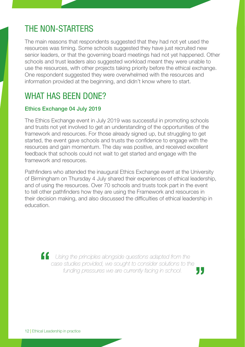### *THE NON-STARTERS*

The main reasons that respondents suggested that they had not yet used the resources was timing. Some schools suggested they have just recruited new senior leaders, or that the governing board meetings had not yet happened. Other schools and trust leaders also suggested workload meant they were unable to use the resources, with other projects taking priority before the ethical exchange. One respondent suggested they were overwhelmed with the resources and information provided at the beginning, and didn't know where to start.

### *WHAT HAS BEEN DONE?*

#### Ethics Exchange 04 July 2019

The Ethics Exchange event in July 2019 was successful in promoting schools and trusts not yet involved to get an understanding of the opportunities of the framework and resources. For those already signed up, but struggling to get started, the event gave schools and trusts the confidence to engage with the resources and gain momentum. The day was positive, and received excellent feedback that schools could not wait to get started and engage with the framework and resources.

Pathfinders who attended the inaugural Ethics Exchange event at the University of Birmingham on Thursday 4 July shared their experiences of ethical leadership, and of using the resources. Over 70 schools and trusts took part in the event to tell other pathfinders how they are using the Framework and resources in their decision making, and also discussed the difficulties of ethical leadership in education.

**f** Using the principles alongside questions adapted from the case studies provided, we sought to consider solutions to the funding pressures we are currently facing in school. *case studies provided, we sought to consider solutions to the funding pressures we are currently facing in school.* **"**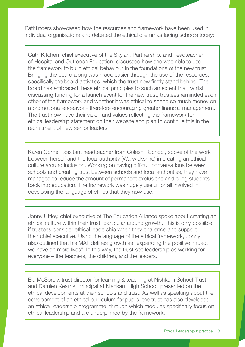Pathfinders showcased how the resources and framework have been used in individual organisations and debated the ethical dilemmas facing schools today:

Cath Kitchen, chief executive of the Skylark Partnership, and headteacher of Hospital and Outreach Education, discussed how she was able to use the framework to build ethical behaviour in the foundations of the new trust. Bringing the board along was made easier through the use of the resources, specifically the board activities, which the trust now firmly stand behind. The board has embraced these ethical principles to such an extent that, whilst discussing funding for a launch event for the new trust, trustees reminded each other of the framework and whether it was ethical to spend so much money on a promotional endeavor - therefore encouraging greater financial management. The trust now have their vision and values reflecting the framework for ethical leadership statement on their website and plan to continue this in the recruitment of new senior leaders.

Karen Cornell, assitant headteacher from Coleshill School, spoke of the work between herself and the local authority (Warwickshire) in creating an ethical culture around inclusion. Working on having difficult conversations between schools and creating trust between schools and local authorities, they have managed to reduce the amount of permanent exclusions and bring students back into education. The framework was hugely useful for all involved in developing the language of ethics that they now use.

Jonny Uttley, chief executive of The Education Alliance spoke about creating an ethical culture within their trust, particular around growth. This is only possible if trustees consider ethical leadership when they challenge and support their chief executive. Using the language of the ethical framework, Jonny also outlined that his MAT defines growth as "expanding the positive impact we have on more lives". In this way, the trust see leadership as working for everyone – the teachers, the children, and the leaders.

Ela McSorely, trust director for learning & teaching at Nishkam School Trust, and Damien Kearns, principal at Nishkam High School, presented on the ethical developments at their schools and trust. As well as speaking about the development of an ethical curriculum for pupils, the trust has also developed an ethical leadership programme, through which modules specifically focus on ethical leadership and are underpinned by the framework.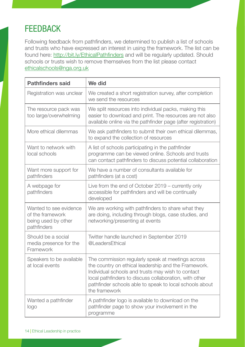### *FEEDBACK*

Following feedback from pathfinders, we determined to publish a list of schools and trusts who have expressed an interest in using the framework. The list can be found here: <http://bit.ly/EthicalPathfinders> and will be regularly updated. Should schools or trusts wish to remove themselves from the list please contact ethicalschools@nga.org.uk

| <b>Pathfinders said</b>                                                          | We did                                                                                                                                                                                                                                                                                               |
|----------------------------------------------------------------------------------|------------------------------------------------------------------------------------------------------------------------------------------------------------------------------------------------------------------------------------------------------------------------------------------------------|
| Registration was unclear                                                         | We created a short registration survey, after completion<br>we send the resources                                                                                                                                                                                                                    |
| The resource pack was<br>too large/overwhelming                                  | We split resources into individual packs, making this<br>easier to download and print. The resources are not also<br>available online via the pathfinder page (after registration)                                                                                                                   |
| More ethical dilemmas                                                            | We ask pathfinders to submit their own ethical dilemmas,<br>to expand the collection of resources                                                                                                                                                                                                    |
| Want to network with<br>local schools                                            | A list of schools participating in the pathfinder<br>programme can be viewed online. Schools and trusts<br>can contact pathfinders to discuss potential collaboration                                                                                                                                |
| Want more support for<br>pathfinders                                             | We have a number of consultants available for<br>pathfinders (at a cost)                                                                                                                                                                                                                             |
| A webpage for<br>pathfinders                                                     | Live from the end of October $2019$ – currently only<br>accessible for pathfinders and will be continually<br>developed                                                                                                                                                                              |
| Wanted to see evidence<br>of the framework<br>being used by other<br>pathfinders | We are working with pathfinders to share what they<br>are doing, including through blogs, case studies, and<br>networking/presenting at events                                                                                                                                                       |
| Should be a social<br>media presence for the<br>Framework                        | Twitter handle launched in September 2019<br>@LeadersEthical                                                                                                                                                                                                                                         |
| Speakers to be available<br>at local events                                      | The commission regularly speak at meetings across<br>the country on ethical leadership and the Framework.<br>Individual schools and trusts may wish to contact<br>local pathfinders to discuss collaboration, with other<br>pathfinder schools able to speak to local schools about<br>the framework |
| Wanted a pathfinder<br>logo                                                      | A pathfinder logo is available to download on the<br>pathfinder page to show your involvement in the<br>programme                                                                                                                                                                                    |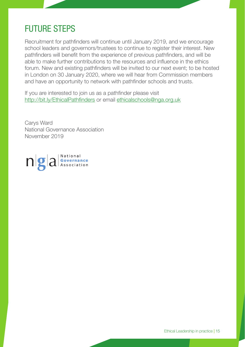### *FUTURE STEPS*

Recruitment for pathfinders will continue until January 2019, and we encourage school leaders and governors/trustees to continue to register their interest. New pathfinders will benefit from the experience of previous pathfinders, and will be able to make further contributions to the resources and influence in the ethics forum. New and existing pathfinders will be invited to our next event; to be hosted in London on 30 January 2020, where we will hear from Commission members and have an opportunity to network with pathfinder schools and trusts.

If you are interested to join us as a pathfinder please visit <http://bit.ly/EthicalPathfinders> or email [ethicalschools@nga.org.uk](mailto:ethicalschools%40nga.org.uk?subject=)

Carys Ward National Governance Association November 2019

 $n$ **g**  $a$   $\frac{National}{d}}$